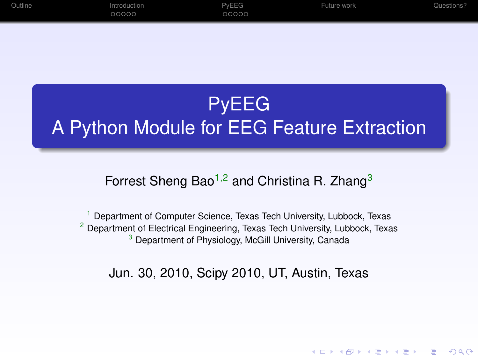| Outline | Introduction | PvEEG | Future work | Questions? |
|---------|--------------|-------|-------------|------------|
|         | 00000        | 00000 |             |            |

# PyEEG A Python Module for EEG Feature Extraction

Forrest Sheng Bao<sup>1,2</sup> and Christina R. Zhang<sup>3</sup>

<sup>1</sup> Department of Computer Science, Texas Tech University, Lubbock, Texas <sup>2</sup> Department of Electrical Engineering, Texas Tech University, Lubbock, Texas <sup>3</sup> Department of Physiology, McGill University, Canada

Jun. 30, 2010, Scipy 2010, UT, Austin, Texas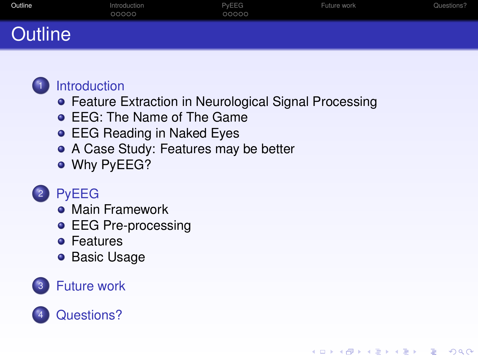| Outline        | Introduction<br>00000 | PyEEG<br>00000 | Future work | Questions? |
|----------------|-----------------------|----------------|-------------|------------|
| <b>Outline</b> |                       |                |             |            |

**KORK ERKERK ADAM** 



#### **[Introduction](#page-2-0)**

- **[Feature Extraction in Neurological Signal Processing](#page-2-0)**
- **[EEG: The Name of The Game](#page-3-0)**
- **[EEG Reading in Naked Eyes](#page-4-0)**
- [A Case Study: Features may be better](#page-5-0)
- **[Why PyEEG?](#page-6-0)**

## **[PyEEG](#page-7-0)**

- **[Main Framework](#page-7-0)**
- **[EEG Pre-processing](#page-9-0)**
- **•** [Features](#page-10-0)
- **[Basic Usage](#page-11-0)**

#### **[Future work](#page-12-0)**

## <span id="page-1-0"></span>[Questions?](#page-13-0)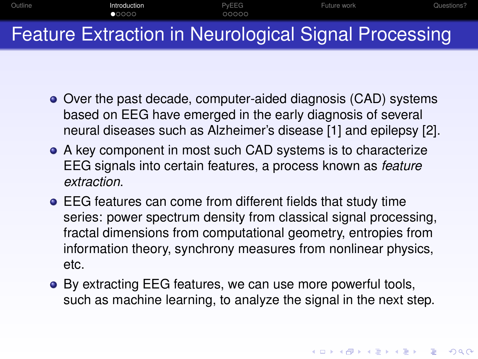

Feature Extraction in Neurological Signal Processing

- Over the past decade, computer-aided diagnosis (CAD) systems based on EEG have emerged in the early diagnosis of several neural diseases such as Alzheimer's disease [\[1\]](#page-14-0) and epilepsy [\[2\]](#page-14-1).
- A key component in most such CAD systems is to characterize EEG signals into certain features, a process known as *feature extraction*.
- EEG features can come from different fields that study time series: power spectrum density from classical signal processing, fractal dimensions from computational geometry, entropies from information theory, synchrony measures from nonlinear physics, etc.
- <span id="page-2-0"></span>● By extracting EEG features, we can use more powerful tools, such as machine learning, to analyze the signal in the next step.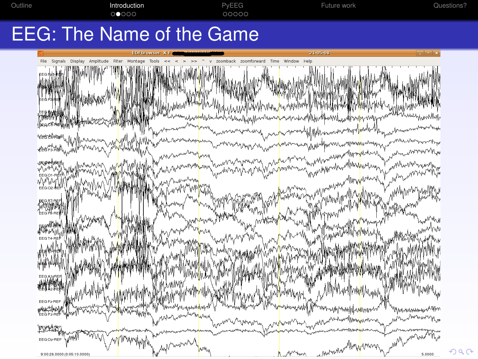

<span id="page-3-0"></span>

 $\Omega$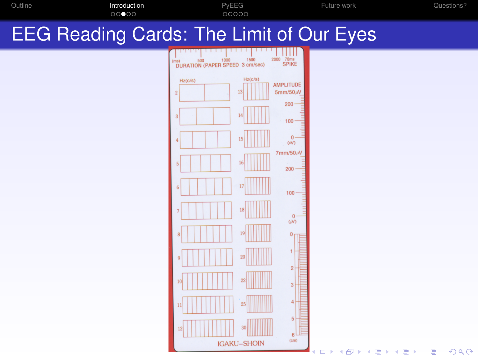<span id="page-4-0"></span>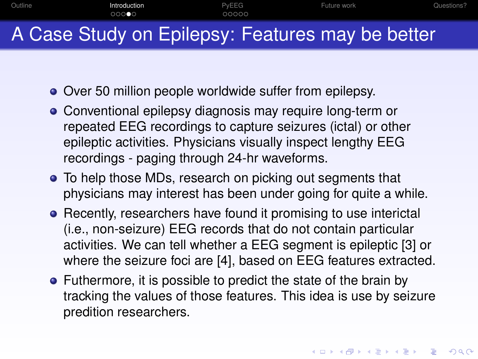

- <span id="page-5-0"></span>
	- Over 50 million people worldwide suffer from epilepsy.
	- Conventional epilepsy diagnosis may require long-term or repeated EEG recordings to capture seizures (ictal) or other epileptic activities. Physicians visually inspect lengthy EEG recordings - paging through 24-hr waveforms.
	- To help those MDs, research on picking out segments that physicians may interest has been under going for quite a while.
	- Recently, researchers have found it promising to use interictal (i.e., non-seizure) EEG records that do not contain particular activities. We can tell whether a EEG segment is epileptic [\[3\]](#page-14-2) or where the seizure foci are [\[4\]](#page-15-0), based on EEG features extracted.
	- Futhermore, it is possible to predict the state of the brain by tracking the values of those features. This idea is use by seizure predition researchers.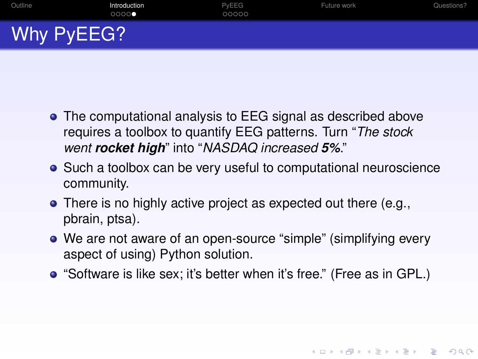

- The computational analysis to EEG signal as described above requires a toolbox to quantify EEG patterns. Turn "*The stock went rocket high*" into "*NASDAQ increased 5%*."
- Such a toolbox can be very useful to computational neuroscience community.
- There is no highly active project as expected out there (e.g., pbrain, ptsa).
- We are not aware of an open-source "simple" (simplifying every aspect of using) Python solution.
- <span id="page-6-0"></span>"Software is like sex; it's better when it's free." (Free as in GPL.)

**KOD KOD KED KED E VAN**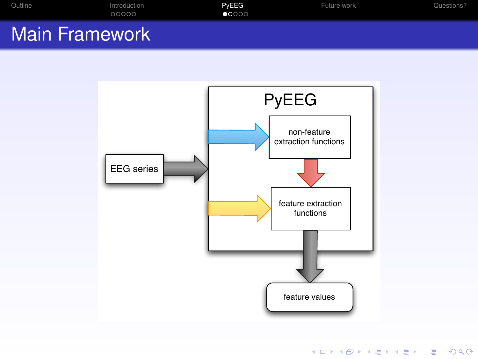| Outline               | Introduction<br>00000 | PvEEG<br>$\bullet$ 0000 | Future work | Questions? |
|-----------------------|-----------------------|-------------------------|-------------|------------|
| <b>Main Framework</b> |                       |                         |             |            |

<span id="page-7-0"></span>

KID KARA KE KAEK LE YOKO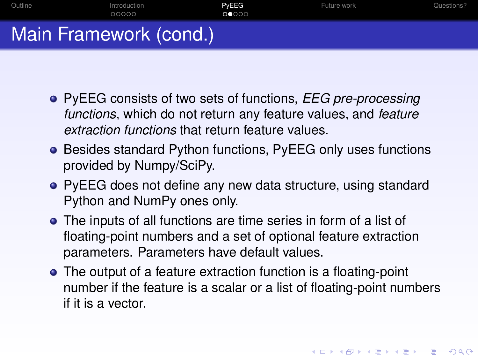

- PyEEG consists of two sets of functions, *EEG pre-processing functions*, which do not return any feature values, and *feature extraction functions* that return feature values.
- Besides standard Python functions, PyEEG only uses functions provided by Numpy/SciPy.
- PyEEG does not define any new data structure, using standard Python and NumPy ones only.
- The inputs of all functions are time series in form of a list of floating-point numbers and a set of optional feature extraction parameters. Parameters have default values.
- The output of a feature extraction function is a floating-point number if the feature is a scalar or a list of floating-point numbers if it is a vector.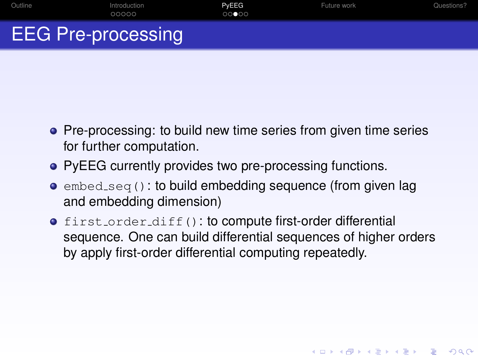- **•** Pre-processing: to build new time series from given time series for further computation.
- PyEEG currently provides two pre-processing functions.
- $\bullet$  embed seq(): to build embedding sequence (from given lag and embedding dimension)
- <span id="page-9-0"></span>**o** first\_order\_diff(): to compute first-order differential sequence. One can build differential sequences of higher orders by apply first-order differential computing repeatedly.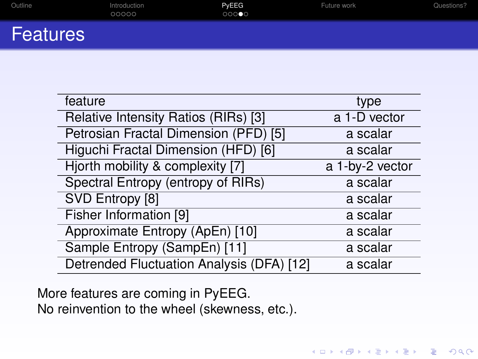| Outline         | Introduction<br>00000 | PvEEG<br>00000 | Future work | Questions? |
|-----------------|-----------------------|----------------|-------------|------------|
| <b>Features</b> |                       |                |             |            |

| feature                                   | type            |
|-------------------------------------------|-----------------|
| Relative Intensity Ratios (RIRs) [3]      | a 1-D vector    |
| Petrosian Fractal Dimension (PFD) [5]     | a scalar        |
| Higuchi Fractal Dimension (HFD) [6]       | a scalar        |
| Hjorth mobility & complexity [7]          | a 1-by-2 vector |
| Spectral Entropy (entropy of RIRs)        | a scalar        |
| SVD Entropy [8]                           | a scalar        |
| Fisher Information [9]                    | a scalar        |
| Approximate Entropy (ApEn) [10]           | a scalar        |
| Sample Entropy (SampEn) [11]              | a scalar        |
| Detrended Fluctuation Analysis (DFA) [12] | a scalar        |

KO KKO K S A B K S B K V S A V K S B K S B K V S A V S B K S B K S B K S B K S B K S B K S B K S B K S B K S B K S B K S B K S B K S B K S B K S B K S B K S B K S B K S B K S B K S B K S B K S B K S B K S B K S B K S B K S

<span id="page-10-0"></span>More features are coming in PyEEG. No reinvention to the wheel (skewness, etc.).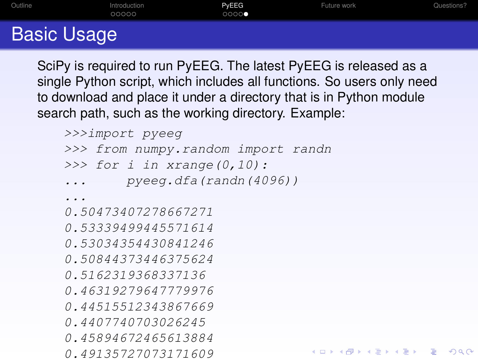| Outline          | Introduction<br>00000 | PyEEG<br>00000 | Future work | Questions? |
|------------------|-----------------------|----------------|-------------|------------|
| <b>B H H H H</b> |                       |                |             |            |

## Basic Usage

SciPy is required to run PyEEG. The latest PyEEG is released as a single Python script, which includes all functions. So users only need to download and place it under a directory that is in Python module search path, such as the working directory. Example:

```
>>>import pyeeg
>>> from numpy.random import randn
>>> for i in xrange(0,10):
... pyeeg.dfa(randn(4096))
...
0.50473407278667271
0.53339499445571614
0.53034354430841246
0.50844373446375624
0.5162319368337136
0.46319279647779976
0.44515512343867669
0.4407740703026245
0.45894672465613884
                                KOD KOD KED KED E VAN
0.49135727073171609
```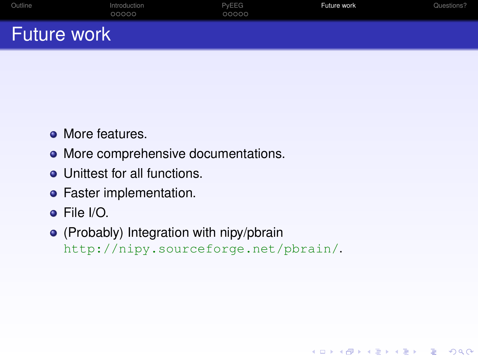| Outline            | Introduction<br>00000 | PvEEG<br>00000 | Future work | Questions? |
|--------------------|-----------------------|----------------|-------------|------------|
| <b>Future work</b> |                       |                |             |            |

- More features.
- More comprehensive documentations.
- **•** Unittest for all functions.
- **•** Faster implementation.
- File I/O.
- <span id="page-12-0"></span>(Probably) Integration with nipy/pbrain <http://nipy.sourceforge.net/pbrain/>.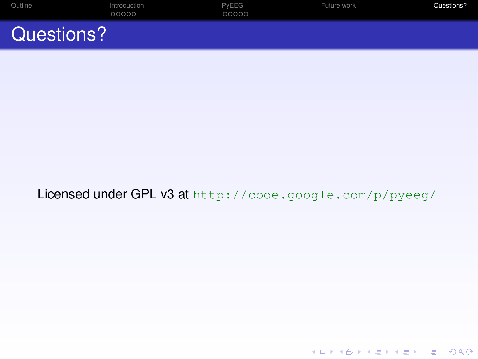| Outline    | Introduction<br>00000 | PvEEG<br>00000 | Future work | Questions? |
|------------|-----------------------|----------------|-------------|------------|
| Questions? |                       |                |             |            |

#### <span id="page-13-0"></span>Licensed under GPL v3 at <http://code.google.com/p/pyeeg/>

メロトメ 御 トメ 差 トメ 差 ト  $\equiv$  $2Q$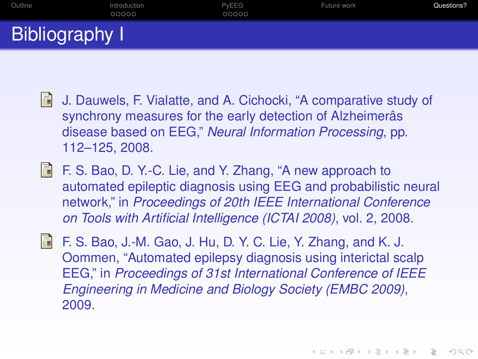[Outline](#page-1-0) [Introduction](#page-2-0) [PyEEG](#page-7-0) [Future work](#page-12-0) [Questions?](#page-13-0) Bibliography I

- <span id="page-14-0"></span>Ħ J. Dauwels, F. Vialatte, and A. Cichocki, "A comparative study of synchrony measures for the early detection of Alzheimeras disease based on EEG," *Neural Information Processing*, pp. 112–125, 2008.
- <span id="page-14-1"></span>F. S. Bao, D. Y.-C. Lie, and Y. Zhang, "A new approach to automated epileptic diagnosis using EEG and probabilistic neural network," in *Proceedings of 20th IEEE International Conference on Tools with Artificial Intelligence (ICTAI 2008)*, vol. 2, 2008.
- <span id="page-14-2"></span> $\Box$  F. S. Bao, J.-M. Gao, J. Hu, D. Y. C. Lie, Y. Zhang, and K. J. Oommen, "Automated epilepsy diagnosis using interictal scalp EEG," in *Proceedings of 31st International Conference of IEEE Engineering in Medicine and Biology Society (EMBC 2009)*, 2009.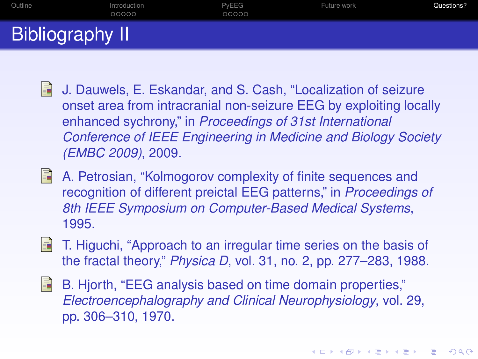[Outline](#page-1-0) [Introduction](#page-2-0) [PyEEG](#page-7-0) [Future work](#page-12-0) [Questions?](#page-13-0) Bibliography II

- <span id="page-15-0"></span>H J. Dauwels, E. Eskandar, and S. Cash, "Localization of seizure onset area from intracranial non-seizure EEG by exploiting locally enhanced sychrony," in *Proceedings of 31st International Conference of IEEE Engineering in Medicine and Biology Society (EMBC 2009)*, 2009.
- <span id="page-15-1"></span>F A. Petrosian, "Kolmogorov complexity of finite sequences and recognition of different preictal EEG patterns," in *Proceedings of 8th IEEE Symposium on Computer-Based Medical Systems*, 1995.
- <span id="page-15-2"></span>暈 T. Higuchi, "Approach to an irregular time series on the basis of the fractal theory," *Physica D*, vol. 31, no. 2, pp. 277–283, 1988.
- <span id="page-15-3"></span>**Finally** B. Hjorth, "EEG analysis based on time domain properties," *Electroencephalography and Clinical Neurophysiology*, vol. 29, pp. 306–310, 1970.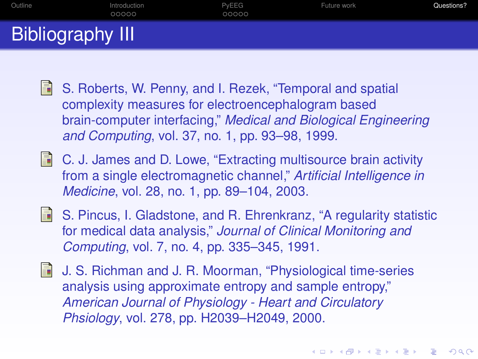[Outline](#page-1-0) [Introduction](#page-2-0) [PyEEG](#page-7-0) [Future work](#page-12-0) [Questions?](#page-13-0) Bibliography III

- <span id="page-16-0"></span>l Fi S. Roberts, W. Penny, and I. Rezek, "Temporal and spatial complexity measures for electroencephalogram based brain-computer interfacing," *Medical and Biological Engineering and Computing*, vol. 37, no. 1, pp. 93–98, 1999.
- <span id="page-16-1"></span>**E** C. J. James and D. Lowe, "Extracting multisource brain activity from a single electromagnetic channel," *Artificial Intelligence in Medicine*, vol. 28, no. 1, pp. 89–104, 2003.
- <span id="page-16-2"></span>S. Pincus, I. Gladstone, and R. Ehrenkranz, "A regularity statistic for medical data analysis," *Journal of Clinical Monitoring and Computing*, vol. 7, no. 4, pp. 335–345, 1991.
- <span id="page-16-3"></span>**J. S. Richman and J. R. Moorman, "Physiological time-series** analysis using approximate entropy and sample entropy," *American Journal of Physiology - Heart and Circulatory Phsiology*, vol. 278, pp. H2039–H2049, 2000.